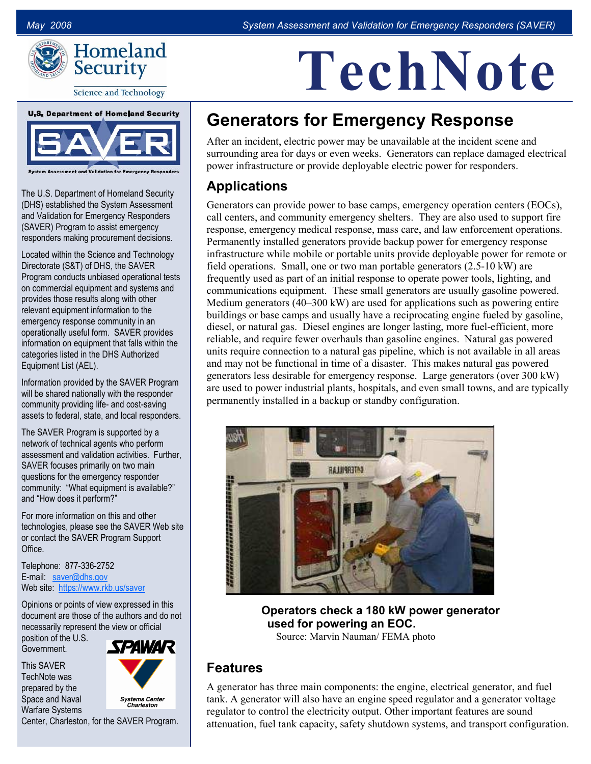TechNote



**Science and Technology** 

# **U.S. Department of Homeland Security**

The U.S. Department of Homeland Security (DHS) established the System Assessment and Validation for Emergency Responders (SAVER) Program to assist emergency responders making procurement decisions.

Located within the Science and Technology Directorate (S&T) of DHS, the SAVER Program conducts unbiased operational tests on commercial equipment and systems and provides those results along with other relevant equipment information to the emergency response community in an operationally useful form. SAVER provides information on equipment that falls within the categories listed in the DHS Authorized Equipment List (AEL).

Information provided by the SAVER Program will be shared nationally with the responder community providing life- and cost-saving assets to federal, state, and local responders.

The SAVER Program is supported by a network of technical agents who perform assessment and validation activities. Further, SAVER focuses primarily on two main questions for the emergency responder community: "What equipment is available?" and "How does it perform?"

For more information on this and other technologies, please see the SAVER Web site or contact the SAVER Program Support Office.

Telephone: 877-336-2752 E-mail: [saver@dhs.gov](mailto:saver@dhs.gov) Web site: <https://www.rkb.us/saver>

Opinions or points of view expressed in this document are those of the authors and do not necessarily represent the view or official position of the U.S.

Government. This SAVER



TechNote was prepared by the Space and Naval Warfare Systems



Center, Charleston, for the SAVER Program.

## Generators for Emergency Response

After an incident, electric power may be unavailable at the incident scene and surrounding area for days or even weeks. Generators can replace damaged electrical power infrastructure or provide deployable electric power for responders.

#### Applications

Generators can provide power to base camps, emergency operation centers (EOCs), call centers, and community emergency shelters. They are also used to support fire response, emergency medical response, mass care, and law enforcement operations. Permanently installed generators provide backup power for emergency response infrastructure while mobile or portable units provide deployable power for remote or field operations. Small, one or two man portable generators (2.5-10 kW) are frequently used as part of an initial response to operate power tools, lighting, and communications equipment. These small generators are usually gasoline powered. Medium generators (40–300 kW) are used for applications such as powering entire buildings or base camps and usually have a reciprocating engine fueled by gasoline, diesel, or natural gas. Diesel engines are longer lasting, more fuel-efficient, more reliable, and require fewer overhauls than gasoline engines. Natural gas powered units require connection to a natural gas pipeline, which is not available in all areas and may not be functional in time of a disaster. This makes natural gas powered generators less desirable for emergency response. Large generators (over 300 kW) are used to power industrial plants, hospitals, and even small towns, and are typically permanently installed in a backup or standby configuration.



Operators check a 180 kW power generator used for powering an EOC. Source: Marvin Nauman/ FEMA photo

#### Features

A generator has three main components: the engine, electrical generator, and fuel tank. A generator will also have an engine speed regulator and a generator voltage regulator to control the electricity output. Other important features are sound attenuation, fuel tank capacity, safety shutdown systems, and transport configuration.